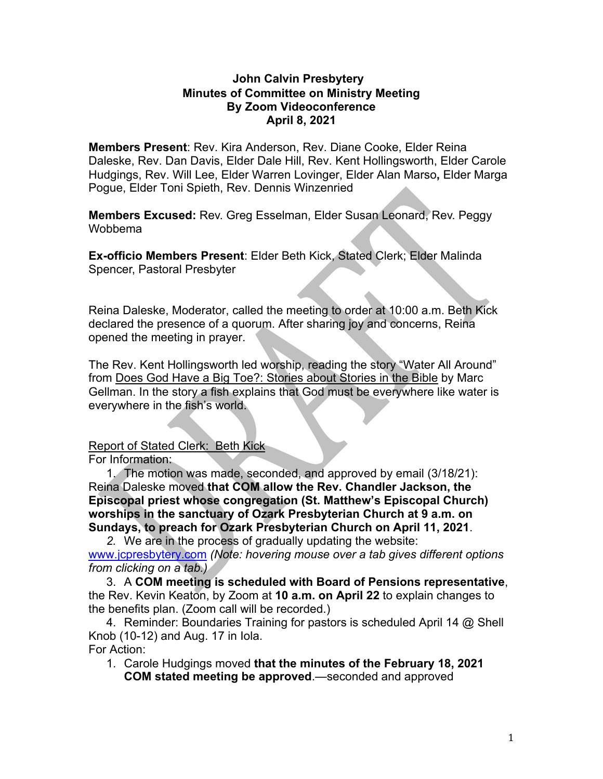#### **John Calvin Presbytery Minutes of Committee on Ministry Meeting By Zoom Videoconference April 8, 2021**

**Members Present**: Rev. Kira Anderson, Rev. Diane Cooke, Elder Reina Daleske, Rev. Dan Davis, Elder Dale Hill, Rev. Kent Hollingsworth, Elder Carole Hudgings, Rev. Will Lee, Elder Warren Lovinger, Elder Alan Marso**,** Elder Marga Pogue, Elder Toni Spieth, Rev. Dennis Winzenried

**Members Excused:** Rev. Greg Esselman, Elder Susan Leonard, Rev. Peggy Wobbema

**Ex-officio Members Present**: Elder Beth Kick, Stated Clerk; Elder Malinda Spencer, Pastoral Presbyter

Reina Daleske, Moderator, called the meeting to order at 10:00 a.m. Beth Kick declared the presence of a quorum. After sharing joy and concerns, Reina opened the meeting in prayer.

The Rev. Kent Hollingsworth led worship, reading the story "Water All Around" from Does God Have a Big Toe?: Stories about Stories in the Bible by Marc Gellman. In the story a fish explains that God must be everywhere like water is everywhere in the fish's world.

# Report of Stated Clerk: Beth Kick

For Information:

1. The motion was made, seconded, and approved by email (3/18/21): Reina Daleske moved **that COM allow the Rev. Chandler Jackson, the Episcopal priest whose congregation (St. Matthew's Episcopal Church) worships in the sanctuary of Ozark Presbyterian Church at 9 a.m. on Sundays, to preach for Ozark Presbyterian Church on April 11, 2021**.

*2.* We are in the process of gradually updating the website: www.jcpresbytery.com *(Note: hovering mouse over a tab gives different options from clicking on a tab.)*

3. A **COM meeting is scheduled with Board of Pensions representative**, the Rev. Kevin Keaton, by Zoom at **10 a.m. on April 22** to explain changes to the benefits plan. (Zoom call will be recorded.)

4. Reminder: Boundaries Training for pastors is scheduled April 14 @ Shell Knob (10-12) and Aug. 17 in Iola. For Action:

1. Carole Hudgings moved **that the minutes of the February 18, 2021 COM stated meeting be approved**.—seconded and approved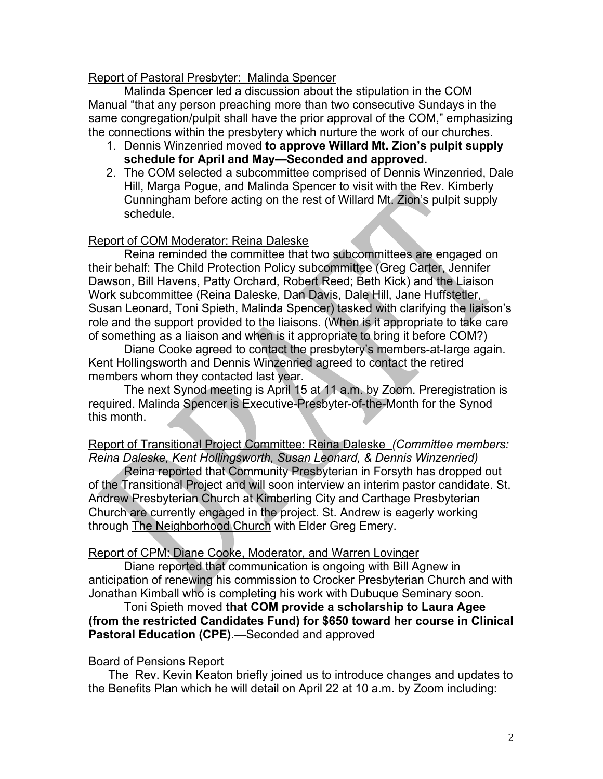## Report of Pastoral Presbyter: Malinda Spencer

Malinda Spencer led a discussion about the stipulation in the COM Manual "that any person preaching more than two consecutive Sundays in the same congregation/pulpit shall have the prior approval of the COM," emphasizing the connections within the presbytery which nurture the work of our churches.

- 1. Dennis Winzenried moved **to approve Willard Mt. Zion's pulpit supply schedule for April and May—Seconded and approved.**
- 2. The COM selected a subcommittee comprised of Dennis Winzenried, Dale Hill, Marga Pogue, and Malinda Spencer to visit with the Rev. Kimberly Cunningham before acting on the rest of Willard Mt. Zion's pulpit supply schedule.

## Report of COM Moderator: Reina Daleske

Reina reminded the committee that two subcommittees are engaged on their behalf: The Child Protection Policy subcommittee (Greg Carter, Jennifer Dawson, Bill Havens, Patty Orchard, Robert Reed; Beth Kick) and the Liaison Work subcommittee (Reina Daleske, Dan Davis, Dale Hill, Jane Huffstetler, Susan Leonard, Toni Spieth, Malinda Spencer) tasked with clarifying the liaison's role and the support provided to the liaisons. (When is it appropriate to take care of something as a liaison and when is it appropriate to bring it before COM?)

Diane Cooke agreed to contact the presbytery's members-at-large again. Kent Hollingsworth and Dennis Winzenried agreed to contact the retired members whom they contacted last year.

The next Synod meeting is April 15 at 11 a.m. by Zoom. Preregistration is required. Malinda Spencer is Executive-Presbyter-of-the-Month for the Synod this month.

Report of Transitional Project Committee: Reina Daleske *(Committee members: Reina Daleske, Kent Hollingsworth, Susan Leonard, & Dennis Winzenried)*

Reina reported that Community Presbyterian in Forsyth has dropped out of the Transitional Project and will soon interview an interim pastor candidate. St. Andrew Presbyterian Church at Kimberling City and Carthage Presbyterian Church are currently engaged in the project. St. Andrew is eagerly working through The Neighborhood Church with Elder Greg Emery.

## Report of CPM: Diane Cooke, Moderator, and Warren Lovinger

Diane reported that communication is ongoing with Bill Agnew in anticipation of renewing his commission to Crocker Presbyterian Church and with Jonathan Kimball who is completing his work with Dubuque Seminary soon.

#### Toni Spieth moved **that COM provide a scholarship to Laura Agee (from the restricted Candidates Fund) for \$650 toward her course in Clinical Pastoral Education (CPE)**.—Seconded and approved

## Board of Pensions Report

 The Rev. Kevin Keaton briefly joined us to introduce changes and updates to the Benefits Plan which he will detail on April 22 at 10 a.m. by Zoom including: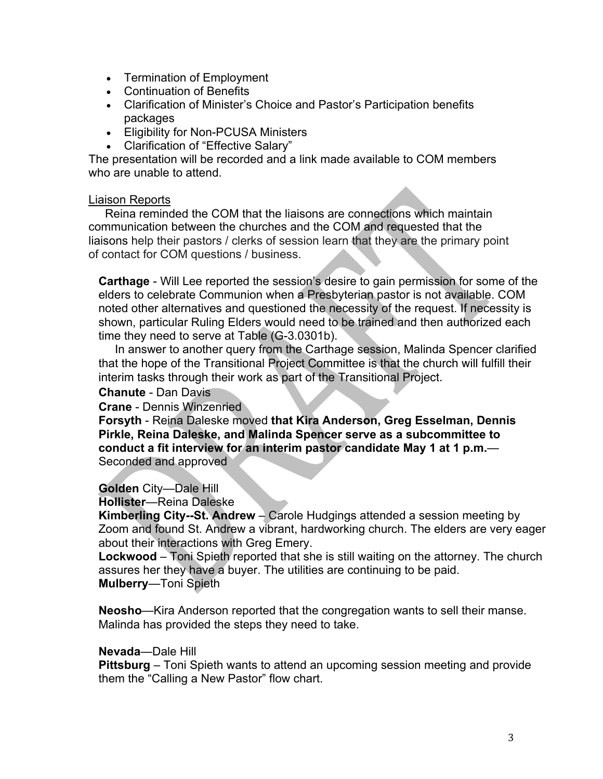- Termination of Employment
- Continuation of Benefits
- Clarification of Minister's Choice and Pastor's Participation benefits packages
- Eligibility for Non-PCUSA Ministers
- Clarification of "Effective Salary"

The presentation will be recorded and a link made available to COM members who are unable to attend.

#### Liaison Reports

 Reina reminded the COM that the liaisons are connections which maintain communication between the churches and the COM and requested that the liaisons help their pastors / clerks of session learn that they are the primary point of contact for COM questions / business.

**Carthage** - Will Lee reported the session's desire to gain permission for some of the elders to celebrate Communion when a Presbyterian pastor is not available. COM noted other alternatives and questioned the necessity of the request. If necessity is shown, particular Ruling Elders would need to be trained and then authorized each time they need to serve at Table (G-3.0301b).

 In answer to another query from the Carthage session, Malinda Spencer clarified that the hope of the Transitional Project Committee is that the church will fulfill their interim tasks through their work as part of the Transitional Project.

**Chanute** - Dan Davis

**Crane** - Dennis Winzenried

**Forsyth** - Reina Daleske moved **that Kira Anderson, Greg Esselman, Dennis Pirkle, Reina Daleske, and Malinda Spencer serve as a subcommittee to conduct a fit interview for an interim pastor candidate May 1 at 1 p.m.**— Seconded and approved

# **Golden** City—Dale Hill

**Hollister**—Reina Daleske

**Kimberling City--St. Andrew** – Carole Hudgings attended a session meeting by Zoom and found St. Andrew a vibrant, hardworking church. The elders are very eager about their interactions with Greg Emery.

**Lockwood** – Toni Spieth reported that she is still waiting on the attorney. The church assures her they have a buyer. The utilities are continuing to be paid. **Mulberry**—Toni Spieth

**Neosho**—Kira Anderson reported that the congregation wants to sell their manse. Malinda has provided the steps they need to take.

#### **Nevada**—Dale Hill

**Pittsburg** – Toni Spieth wants to attend an upcoming session meeting and provide them the "Calling a New Pastor" flow chart.